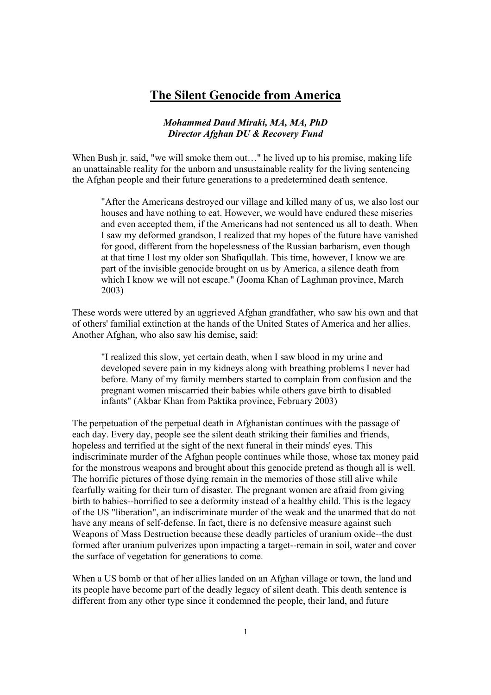## **The Silent Genocide from America**

### *Mohammed Daud Miraki, MA, MA, PhD Director Afghan DU & Recovery Fund*

When Bush jr. said, "we will smoke them out..." he lived up to his promise, making life an unattainable reality for the unborn and unsustainable reality for the living sentencing the Afghan people and their future generations to a predetermined death sentence.

"After the Americans destroyed our village and killed many of us, we also lost our houses and have nothing to eat. However, we would have endured these miseries and even accepted them, if the Americans had not sentenced us all to death. When I saw my deformed grandson, I realized that my hopes of the future have vanished for good, different from the hopelessness of the Russian barbarism, even though at that time I lost my older son Shafiqullah. This time, however, I know we are part of the invisible genocide brought on us by America, a silence death from which I know we will not escape." (Jooma Khan of Laghman province, March 2003)

These words were uttered by an aggrieved Afghan grandfather, who saw his own and that of others' familial extinction at the hands of the United States of America and her allies. Another Afghan, who also saw his demise, said:

"I realized this slow, yet certain death, when I saw blood in my urine and developed severe pain in my kidneys along with breathing problems I never had before. Many of my family members started to complain from confusion and the pregnant women miscarried their babies while others gave birth to disabled infants" (Akbar Khan from Paktika province, February 2003)

The perpetuation of the perpetual death in Afghanistan continues with the passage of each day. Every day, people see the silent death striking their families and friends, hopeless and terrified at the sight of the next funeral in their minds' eyes. This indiscriminate murder of the Afghan people continues while those, whose tax money paid for the monstrous weapons and brought about this genocide pretend as though all is well. The horrific pictures of those dying remain in the memories of those still alive while fearfully waiting for their turn of disaster. The pregnant women are afraid from giving birth to babies--horrified to see a deformity instead of a healthy child. This is the legacy of the US "liberation", an indiscriminate murder of the weak and the unarmed that do not have any means of self-defense. In fact, there is no defensive measure against such Weapons of Mass Destruction because these deadly particles of uranium oxide--the dust formed after uranium pulverizes upon impacting a target--remain in soil, water and cover the surface of vegetation for generations to come.

When a US bomb or that of her allies landed on an Afghan village or town, the land and its people have become part of the deadly legacy of silent death. This death sentence is different from any other type since it condemned the people, their land, and future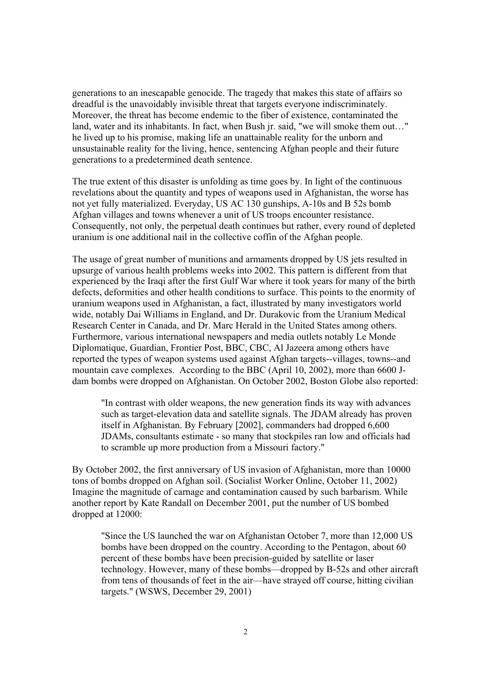generations to an inescapable genocide. The tragedy that makes this state of affairs so dreadful is the unavoidably invisible threat that targets everyone indiscriminately. Moreover, the threat has become endemic to the fiber of existence, contaminated the land, water and its inhabitants. In fact, when Bush jr. said, "we will smoke them out..." he lived up to his promise, making life an unattainable reality for the unborn and unsustainable reality for the living, hence, sentencing Afghan people and their future generations to a predetermined death sentence.

The true extent of this disaster is unfolding as time goes by. In light of the continuous revelations about the quantity and types of weapons used in Afghanistan, the worse has not yet fully materialized. Everyday, US AC 130 gunships, A-10s and B 52s bomb Afghan villages and towns whenever a unit of US troops encounter resistance. Consequently, not only, the perpetual death continues but rather, every round of depleted uranium is one additional nail in the collective coffin of the Afghan people.

The usage of great number of munitions and armaments dropped by US jets resulted in upsurge of various health problems weeks into 2002. This pattern is different from that experienced by the Iraqi after the first Gulf War where it took years for many of the birth defects, deformities and other health conditions to surface. This points to the enormity of uranium weapons used in Afghanistan, a fact, illustrated by many investigators world wide, notably Dai Williams in England, and Dr. Durakovic from the Uranium Medical Research Center in Canada, and Dr. Marc Herald in the United States among others. Furthermore, various international newspapers and media outlets notably Le Monde Diplomatique, Guardian, Frontier Post, BBC, CBC, Al Jazeera among others have reported the types of weapon systems used against Afghan targets--villages, towns--and mountain cave complexes. According to the BBC (April 10, 2002), more than 6600 Jdam bombs were dropped on Afghanistan. On October 2002, Boston Globe also reported:

 "In contrast with older weapons, the new generation finds its way with advances such as target-elevation data and satellite signals. The JDAM already has proven itself in Afghanistan. By February [2002], commanders had dropped 6,600 JDAMs, consultants estimate - so many that stockpiles ran low and officials had to scramble up more production from a Missouri factory."

By October 2002, the first anniversary of US invasion of Afghanistan, more than 10000 tons of bombs dropped on Afghan soil. (Socialist Worker Online, October 11, 2002) Imagine the magnitude of carnage and contamination caused by such barbarism. While another report by Kate Randall on December 2001, put the number of US bombed dropped at 12000:

"Since the US launched the war on Afghanistan October 7, more than 12,000 US bombs have been dropped on the country. According to the Pentagon, about 60 percent of these bombs have been precision-guided by satellite or laser technology. However, many of these bombs—dropped by B-52s and other aircraft from tens of thousands of feet in the air—have strayed off course, hitting civilian targets." (WSWS, December 29, 2001)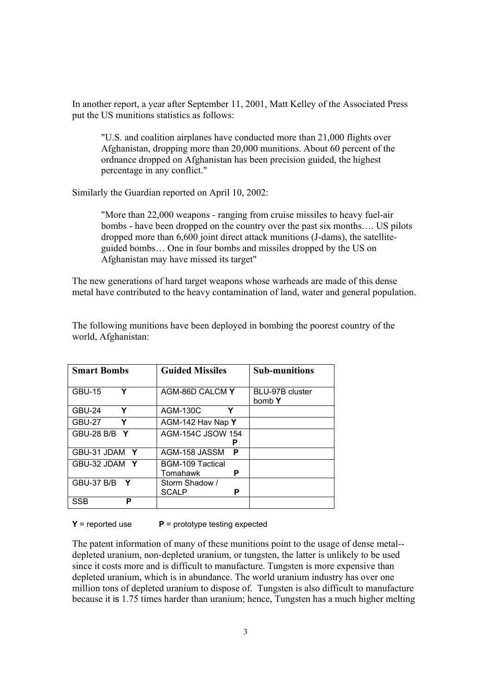In another report, a year after September 11, 2001, Matt Kelley of the Associated Press put the US munitions statistics as follows:

"U.S. and coalition airplanes have conducted more than 21,000 flights over Afghanistan, dropping more than 20,000 munitions. About 60 percent of the ordnance dropped on Afghanistan has been precision guided, the highest percentage in any conflict."

Similarly the Guardian reported on April 10, 2002:

"More than 22,000 weapons - ranging from cruise missiles to heavy fuel-air bombs - have been dropped on the country over the past six months.... US pilots dropped more than 6,600 joint direct attack munitions (J-dams), the satelliteguided bombs... One in four bombs and missiles dropped by the US on Afghanistan may have missed its target"

The new generations of hard target weapons whose warheads are made of this dense metal have contributed to the heavy contamination of land, water and general population.

| <b>Smart Bombs</b>            | <b>Guided Missiles</b>              | <b>Sub-munitions</b>      |
|-------------------------------|-------------------------------------|---------------------------|
| Υ<br><b>GBU-15</b>            | AGM-86D CALCM Y                     | BLU-97B cluster<br>bomb Y |
| Y<br>GBU-24                   | Y<br>AGM-130C                       |                           |
| Y<br><b>GBU-27</b>            | AGM-142 Hav Nap Y                   |                           |
| <b>GBU-28 B/B</b><br><b>Y</b> | <b>AGM-154C JSOW 154</b>            |                           |
| GBU-31 JDAM Y                 | AGM-158 JASSM<br>P                  |                           |
| GBU-32 JDAM Y                 | BGM-109 Tactical<br>Р<br>Tomahawk   |                           |
| <b>GBU-37 B/B</b><br><b>Y</b> | Storm Shadow /<br><b>SCALP</b><br>Р |                           |
| SSB<br>Р                      |                                     |                           |

The following munitions have been deployed in bombing the poorest country of the world, Afghanistan:

 $Y$  = reported use **P** = prototype testing expected

The patent information of many of these munitions point to the usage of dense metal- depleted uranium, non-depleted uranium, or tungsten, the latter is unlikely to be used since it costs more and is difficult to manufacture. Tungsten is more expensive than depleted uranium, which is in abundance. The world uranium industry has over one million tons of depleted uranium to dispose of. Tungsten is also difficult to manufacture because it is 1.75 times harder than uranium; hence, Tungsten has a much higher melting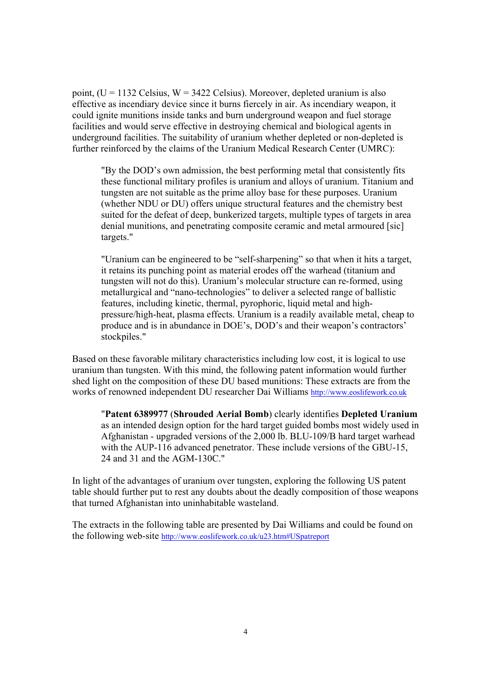point,  $(U = 1132$  Celsius,  $W = 3422$  Celsius). Moreover, depleted uranium is also effective as incendiary device since it burns fiercely in air. As incendiary weapon, it could ignite munitions inside tanks and burn underground weapon and fuel storage facilities and would serve effective in destroying chemical and biological agents in underground facilities. The suitability of uranium whether depleted or non-depleted is further reinforced by the claims of the Uranium Medical Research Center (UMRC):

"By the DOD's own admission, the best performing metal that consistently fits these functional military profiles is uranium and alloys of uranium. Titanium and tungsten are not suitable as the prime alloy base for these purposes. Uranium (whether NDU or DU) offers unique structural features and the chemistry best suited for the defeat of deep, bunkerized targets, multiple types of targets in area denial munitions, and penetrating composite ceramic and metal armoured [sic] targets."

"Uranium can be engineered to be "self-sharpening" so that when it hits a target, it retains its punching point as material erodes off the warhead (titanium and tungsten will not do this). Uranium's molecular structure can re-formed, using metallurgical and "nano-technologies" to deliver a selected range of ballistic features, including kinetic, thermal, pyrophoric, liquid metal and highpressure/high-heat, plasma effects. Uranium is a readily available metal, cheap to produce and is in abundance in DOE's, DOD's and their weapon's contractors' stockpiles."

Based on these favorable military characteristics including low cost, it is logical to use uranium than tungsten. With this mind, the following patent information would further shed light on the composition of these DU based munitions: These extracts are from the works of renowned independent DU researcher Dai Williams http://www.eoslifework.co.uk

"**Patent 6389977** (**Shrouded Aerial Bomb**) clearly identifies **Depleted Uranium** as an intended design option for the hard target guided bombs most widely used in Afghanistan - upgraded versions of the 2,000 lb. BLU-109/B hard target warhead with the AUP-116 advanced penetrator. These include versions of the GBU-15, 24 and 31 and the AGM-130C."

In light of the advantages of uranium over tungsten, exploring the following US patent table should further put to rest any doubts about the deadly composition of those weapons that turned Afghanistan into uninhabitable wasteland.

The extracts in the following table are presented by Dai Williams and could be found on the following web-site http://www.eoslifework.co.uk/u23.htm#USpatreport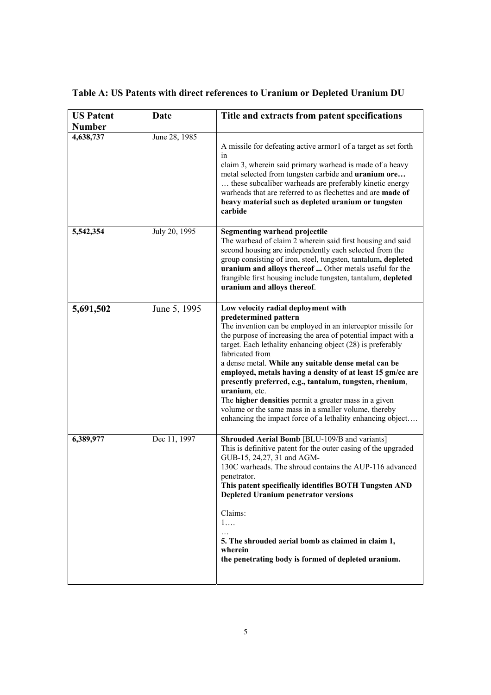# **Table A: US Patents with direct references to Uranium or Depleted Uranium DU**

| <b>US Patent</b> | Date          | Title and extracts from patent specifications                                                                                                                                                                                                                                                                                                                                                                                                                                                                                                                                                                                                                         |
|------------------|---------------|-----------------------------------------------------------------------------------------------------------------------------------------------------------------------------------------------------------------------------------------------------------------------------------------------------------------------------------------------------------------------------------------------------------------------------------------------------------------------------------------------------------------------------------------------------------------------------------------------------------------------------------------------------------------------|
| <b>Number</b>    |               |                                                                                                                                                                                                                                                                                                                                                                                                                                                                                                                                                                                                                                                                       |
| 4,638,737        | June 28, 1985 | A missile for defeating active armor1 of a target as set forth<br>in<br>claim 3, wherein said primary warhead is made of a heavy<br>metal selected from tungsten carbide and <b>uranium ore</b><br>these subcaliber warheads are preferably kinetic energy<br>warheads that are referred to as flechettes and are made of<br>heavy material such as depleted uranium or tungsten<br>carbide                                                                                                                                                                                                                                                                           |
| 5,542,354        | July 20, 1995 | <b>Segmenting warhead projectile</b><br>The warhead of claim 2 wherein said first housing and said<br>second housing are independently each selected from the<br>group consisting of iron, steel, tungsten, tantalum, depleted<br>uranium and alloys thereof  Other metals useful for the<br>frangible first housing include tungsten, tantalum, depleted<br>uranium and alloys thereof.                                                                                                                                                                                                                                                                              |
| 5,691,502        | June 5, 1995  | Low velocity radial deployment with<br>predetermined pattern<br>The invention can be employed in an interceptor missile for<br>the purpose of increasing the area of potential impact with a<br>target. Each lethality enhancing object (28) is preferably<br>fabricated from<br>a dense metal. While any suitable dense metal can be<br>employed, metals having a density of at least 15 gm/cc are<br>presently preferred, e.g., tantalum, tungsten, rhenium,<br>uranium, etc.<br>The <b>higher densities</b> permit a greater mass in a given<br>volume or the same mass in a smaller volume, thereby<br>enhancing the impact force of a lethality enhancing object |
| 6,389,977        | Dec 11, 1997  | Shrouded Aerial Bomb [BLU-109/B and variants]<br>This is definitive patent for the outer casing of the upgraded<br>GUB-15, 24, 27, 31 and AGM-<br>130C warheads. The shroud contains the AUP-116 advanced<br>penetrator.<br>This patent specifically identifies BOTH Tungsten AND<br><b>Depleted Uranium penetrator versions</b><br>Claims:<br>1<br>5. The shrouded aerial bomb as claimed in claim 1,<br>wherein<br>the penetrating body is formed of depleted uranium.                                                                                                                                                                                              |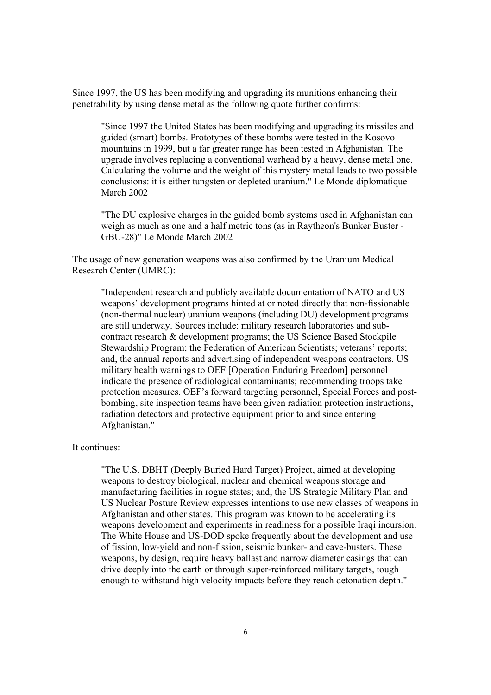Since 1997, the US has been modifying and upgrading its munitions enhancing their penetrability by using dense metal as the following quote further confirms:

"Since 1997 the United States has been modifying and upgrading its missiles and guided (smart) bombs. Prototypes of these bombs were tested in the Kosovo mountains in 1999, but a far greater range has been tested in Afghanistan. The upgrade involves replacing a conventional warhead by a heavy, dense metal one. Calculating the volume and the weight of this mystery metal leads to two possible conclusions: it is either tungsten or depleted uranium." Le Monde diplomatique March 2002

"The DU explosive charges in the guided bomb systems used in Afghanistan can weigh as much as one and a half metric tons (as in Raytheon's Bunker Buster - GBU-28)" Le Monde March 2002

The usage of new generation weapons was also confirmed by the Uranium Medical Research Center (UMRC):

"Independent research and publicly available documentation of NATO and US weapons' development programs hinted at or noted directly that non-fissionable (non-thermal nuclear) uranium weapons (including DU) development programs are still underway. Sources include: military research laboratories and subcontract research & development programs; the US Science Based Stockpile Stewardship Program; the Federation of American Scientists; veterans' reports; and, the annual reports and advertising of independent weapons contractors. US military health warnings to OEF [Operation Enduring Freedom] personnel indicate the presence of radiological contaminants; recommending troops take protection measures. OEF's forward targeting personnel, Special Forces and postbombing, site inspection teams have been given radiation protection instructions, radiation detectors and protective equipment prior to and since entering Afghanistan."

### It continues:

"The U.S. DBHT (Deeply Buried Hard Target) Project, aimed at developing weapons to destroy biological, nuclear and chemical weapons storage and manufacturing facilities in rogue states; and, the US Strategic Military Plan and US Nuclear Posture Review expresses intentions to use new classes of weapons in Afghanistan and other states. This program was known to be accelerating its weapons development and experiments in readiness for a possible Iraqi incursion. The White House and US-DOD spoke frequently about the development and use of fission, low-yield and non-fission, seismic bunker- and cave-busters. These weapons, by design, require heavy ballast and narrow diameter casings that can drive deeply into the earth or through super-reinforced military targets, tough enough to withstand high velocity impacts before they reach detonation depth."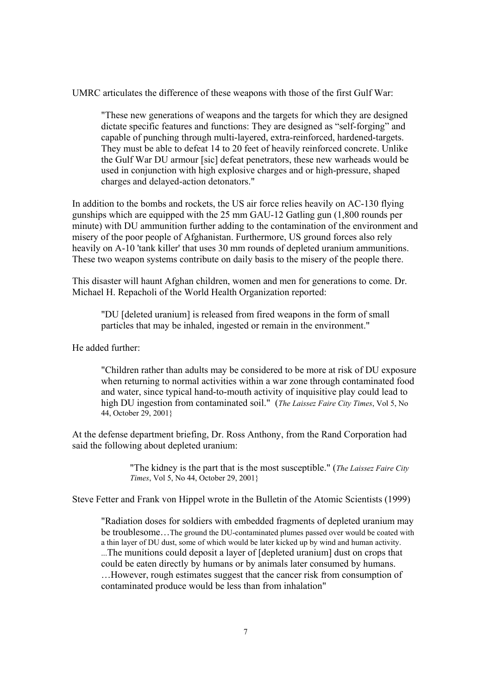UMRC articulates the difference of these weapons with those of the first Gulf War:

"These new generations of weapons and the targets for which they are designed dictate specific features and functions: They are designed as "self-forging" and capable of punching through multi-layered, extra-reinforced, hardened-targets. They must be able to defeat 14 to 20 feet of heavily reinforced concrete. Unlike the Gulf War DU armour [sic] defeat penetrators, these new warheads would be used in conjunction with high explosive charges and or high-pressure, shaped charges and delayed-action detonators."

In addition to the bombs and rockets, the US air force relies heavily on AC-130 flying gunships which are equipped with the 25 mm GAU-12 Gatling gun (1,800 rounds per minute) with DU ammunition further adding to the contamination of the environment and misery of the poor people of Afghanistan. Furthermore, US ground forces also rely heavily on A-10 'tank killer' that uses 30 mm rounds of depleted uranium ammunitions. These two weapon systems contribute on daily basis to the misery of the people there.

This disaster will haunt Afghan children, women and men for generations to come. Dr. Michael H. Repacholi of the World Health Organization reported:

"DU [deleted uranium] is released from fired weapons in the form of small particles that may be inhaled, ingested or remain in the environment."

He added further:

"Children rather than adults may be considered to be more at risk of DU exposure when returning to normal activities within a war zone through contaminated food and water, since typical hand-to-mouth activity of inquisitive play could lead to high DU ingestion from contaminated soil." (*The Laissez Faire City Times*, Vol 5, No 44, October 29, 2001}

At the defense department briefing, Dr. Ross Anthony, from the Rand Corporation had said the following about depleted uranium:

> "The kidney is the part that is the most susceptible." (*The Laissez Faire City Times*, Vol 5, No 44, October 29, 2001}

Steve Fetter and Frank von Hippel wrote in the Bulletin of the Atomic Scientists (1999)

"Radiation doses for soldiers with embedded fragments of depleted uranium may be troublesome...The ground the DU-contaminated plumes passed over would be coated with a thin layer of DU dust, some of which would be later kicked up by wind and human activity. ...The munitions could deposit a layer of [depleted uranium] dust on crops that could be eaten directly by humans or by animals later consumed by humans. ... However, rough estimates suggest that the cancer risk from consumption of contaminated produce would be less than from inhalation"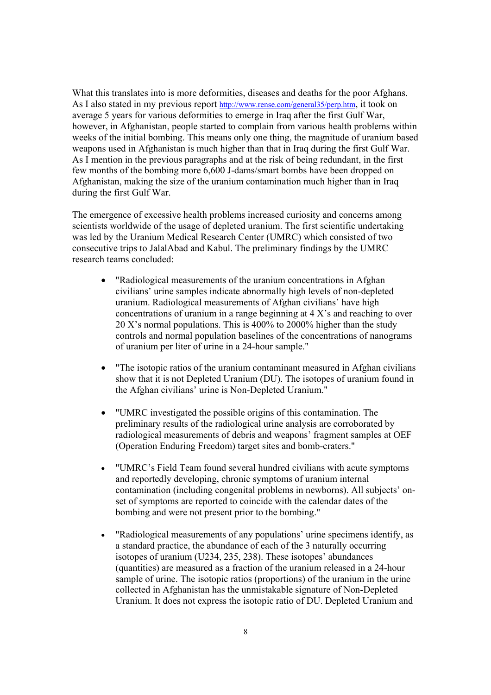What this translates into is more deformities, diseases and deaths for the poor Afghans. As I also stated in my previous report http://www.rense.com/general35/perp.htm, it took on average 5 years for various deformities to emerge in Iraq after the first Gulf War, however, in Afghanistan, people started to complain from various health problems within weeks of the initial bombing. This means only one thing, the magnitude of uranium based weapons used in Afghanistan is much higher than that in Iraq during the first Gulf War. As I mention in the previous paragraphs and at the risk of being redundant, in the first few months of the bombing more 6,600 J-dams/smart bombs have been dropped on Afghanistan, making the size of the uranium contamination much higher than in Iraq during the first Gulf War.

The emergence of excessive health problems increased curiosity and concerns among scientists worldwide of the usage of depleted uranium. The first scientific undertaking was led by the Uranium Medical Research Center (UMRC) which consisted of two consecutive trips to JalalAbad and Kabul. The preliminary findings by the UMRC research teams concluded:

- "Radiological measurements of the uranium concentrations in Afghan civilians' urine samples indicate abnormally high levels of non-depleted uranium. Radiological measurements of Afghan civilians' have high concentrations of uranium in a range beginning at  $4 \text{ X's}$  and reaching to over 20 Xís normal populations. This is 400% to 2000% higher than the study controls and normal population baselines of the concentrations of nanograms of uranium per liter of urine in a 24-hour sample."
- The isotopic ratios of the uranium contaminant measured in Afghan civilians show that it is not Depleted Uranium (DU). The isotopes of uranium found in the Afghan civilians' urine is Non-Depleted Uranium."
- "UMRC investigated the possible origins of this contamination. The preliminary results of the radiological urine analysis are corroborated by radiological measurements of debris and weapons' fragment samples at OEF (Operation Enduring Freedom) target sites and bomb-craters."
- "UMRC's Field Team found several hundred civilians with acute symptoms and reportedly developing, chronic symptoms of uranium internal contamination (including congenital problems in newborns). All subjects' onset of symptoms are reported to coincide with the calendar dates of the bombing and were not present prior to the bombing."
- "Radiological measurements of any populations' urine specimens identify, as a standard practice, the abundance of each of the 3 naturally occurring isotopes of uranium (U234, 235, 238). These isotopes' abundances (quantities) are measured as a fraction of the uranium released in a 24-hour sample of urine. The isotopic ratios (proportions) of the uranium in the urine collected in Afghanistan has the unmistakable signature of Non-Depleted Uranium. It does not express the isotopic ratio of DU. Depleted Uranium and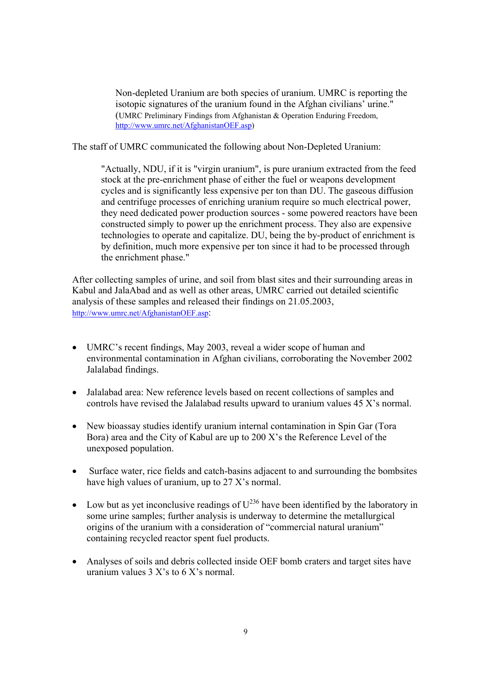Non-depleted Uranium are both species of uranium. UMRC is reporting the isotopic signatures of the uranium found in the Afghan civilians' urine." (UMRC Preliminary Findings from Afghanistan & Operation Enduring Freedom, http://www.umrc.net/AfghanistanOEF.asp)

The staff of UMRC communicated the following about Non-Depleted Uranium:

"Actually, NDU, if it is "virgin uranium", is pure uranium extracted from the feed stock at the pre-enrichment phase of either the fuel or weapons development cycles and is significantly less expensive per ton than DU. The gaseous diffusion and centrifuge processes of enriching uranium require so much electrical power, they need dedicated power production sources - some powered reactors have been constructed simply to power up the enrichment process. They also are expensive technologies to operate and capitalize. DU, being the by-product of enrichment is by definition, much more expensive per ton since it had to be processed through the enrichment phase."

After collecting samples of urine, and soil from blast sites and their surrounding areas in Kabul and JalaAbad and as well as other areas, UMRC carried out detailed scientific analysis of these samples and released their findings on 21.05.2003, http://www.umrc.net/AfghanistanOEF.asp:

- UMRC's recent findings, May 2003, reveal a wider scope of human and environmental contamination in Afghan civilians, corroborating the November 2002 Jalalabad findings.
- Jalalabad area: New reference levels based on recent collections of samples and controls have revised the Jalalabad results upward to uranium values  $45 X$ 's normal.
- New bioassay studies identify uranium internal contamination in Spin Gar (Tora Bora) area and the City of Kabul are up to  $200 X$ 's the Reference Level of the unexposed population.
- Surface water, rice fields and catch-basins adjacent to and surrounding the bombsites have high values of uranium, up to  $27 X$ 's normal.
- Low but as yet inconclusive readings of  $U^{236}$  have been identified by the laboratory in some urine samples; further analysis is underway to determine the metallurgical origins of the uranium with a consideration of "commercial natural uranium" containing recycled reactor spent fuel products.
- Analyses of soils and debris collected inside OEF bomb craters and target sites have uranium values  $3 X$ s to  $6 X$ s normal.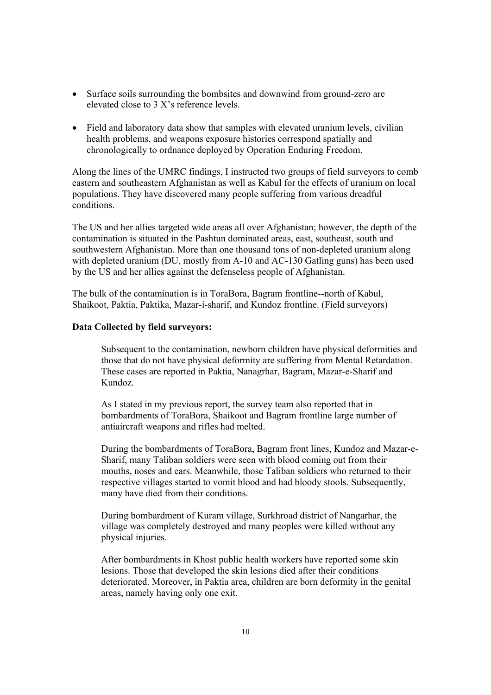- Surface soils surrounding the bombsites and downwind from ground-zero are elevated close to  $3 X$ 's reference levels.
- Field and laboratory data show that samples with elevated uranium levels, civilian health problems, and weapons exposure histories correspond spatially and chronologically to ordnance deployed by Operation Enduring Freedom.

Along the lines of the UMRC findings, I instructed two groups of field surveyors to comb eastern and southeastern Afghanistan as well as Kabul for the effects of uranium on local populations. They have discovered many people suffering from various dreadful conditions.

The US and her allies targeted wide areas all over Afghanistan; however, the depth of the contamination is situated in the Pashtun dominated areas, east, southeast, south and southwestern Afghanistan. More than one thousand tons of non-depleted uranium along with depleted uranium (DU, mostly from A-10 and AC-130 Gatling guns) has been used by the US and her allies against the defenseless people of Afghanistan.

The bulk of the contamination is in ToraBora, Bagram frontline--north of Kabul, Shaikoot, Paktia, Paktika, Mazar-i-sharif, and Kundoz frontline. (Field surveyors)

#### **Data Collected by field surveyors:**

Subsequent to the contamination, newborn children have physical deformities and those that do not have physical deformity are suffering from Mental Retardation. These cases are reported in Paktia, Nanagrhar, Bagram, Mazar-e-Sharif and Kundoz.

As I stated in my previous report, the survey team also reported that in bombardments of ToraBora, Shaikoot and Bagram frontline large number of antiaircraft weapons and rifles had melted.

During the bombardments of ToraBora, Bagram front lines, Kundoz and Mazar-e-Sharif, many Taliban soldiers were seen with blood coming out from their mouths, noses and ears. Meanwhile, those Taliban soldiers who returned to their respective villages started to vomit blood and had bloody stools. Subsequently, many have died from their conditions.

During bombardment of Kuram village, Surkhroad district of Nangarhar, the village was completely destroyed and many peoples were killed without any physical injuries.

After bombardments in Khost public health workers have reported some skin lesions. Those that developed the skin lesions died after their conditions deteriorated. Moreover, in Paktia area, children are born deformity in the genital areas, namely having only one exit.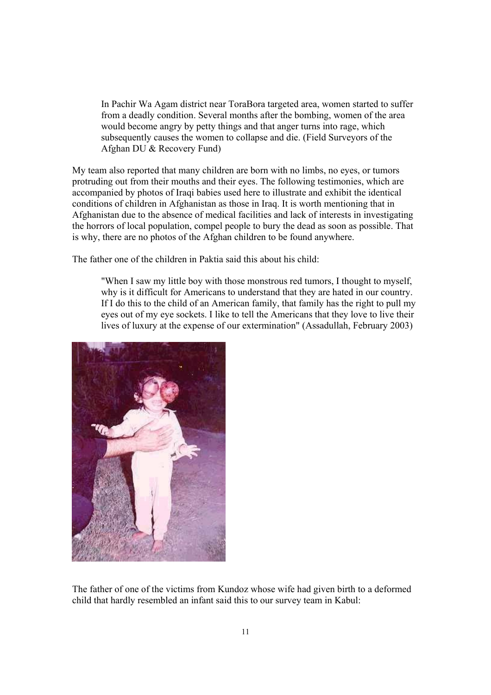In Pachir Wa Agam district near ToraBora targeted area, women started to suffer from a deadly condition. Several months after the bombing, women of the area would become angry by petty things and that anger turns into rage, which subsequently causes the women to collapse and die. (Field Surveyors of the Afghan DU & Recovery Fund)

My team also reported that many children are born with no limbs, no eyes, or tumors protruding out from their mouths and their eyes. The following testimonies, which are accompanied by photos of Iraqi babies used here to illustrate and exhibit the identical conditions of children in Afghanistan as those in Iraq. It is worth mentioning that in Afghanistan due to the absence of medical facilities and lack of interests in investigating the horrors of local population, compel people to bury the dead as soon as possible. That is why, there are no photos of the Afghan children to be found anywhere.

The father one of the children in Paktia said this about his child:

"When I saw my little boy with those monstrous red tumors, I thought to myself, why is it difficult for Americans to understand that they are hated in our country. If I do this to the child of an American family, that family has the right to pull my eyes out of my eye sockets. I like to tell the Americans that they love to live their lives of luxury at the expense of our extermination" (Assadullah, February 2003)



The father of one of the victims from Kundoz whose wife had given birth to a deformed child that hardly resembled an infant said this to our survey team in Kabul: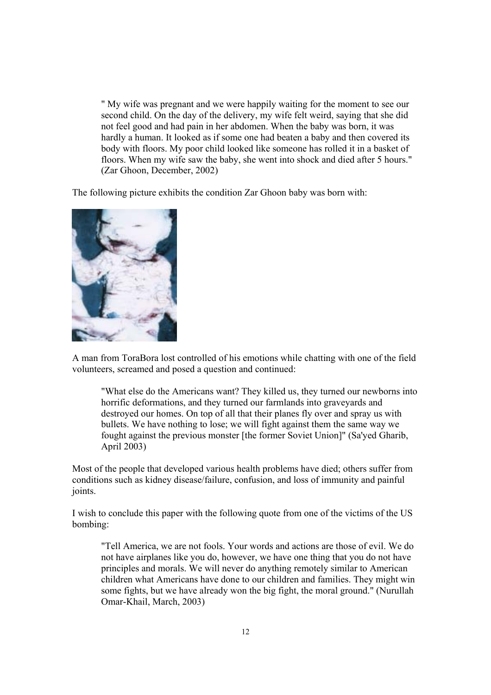" My wife was pregnant and we were happily waiting for the moment to see our second child. On the day of the delivery, my wife felt weird, saying that she did not feel good and had pain in her abdomen. When the baby was born, it was hardly a human. It looked as if some one had beaten a baby and then covered its body with floors. My poor child looked like someone has rolled it in a basket of floors. When my wife saw the baby, she went into shock and died after 5 hours." (Zar Ghoon, December, 2002)

The following picture exhibits the condition Zar Ghoon baby was born with:



A man from ToraBora lost controlled of his emotions while chatting with one of the field volunteers, screamed and posed a question and continued:

"What else do the Americans want? They killed us, they turned our newborns into horrific deformations, and they turned our farmlands into graveyards and destroyed our homes. On top of all that their planes fly over and spray us with bullets. We have nothing to lose; we will fight against them the same way we fought against the previous monster [the former Soviet Union]" (Sa'yed Gharib, April 2003)

Most of the people that developed various health problems have died; others suffer from conditions such as kidney disease/failure, confusion, and loss of immunity and painful joints.

I wish to conclude this paper with the following quote from one of the victims of the US bombing:

"Tell America, we are not fools. Your words and actions are those of evil. We do not have airplanes like you do, however, we have one thing that you do not have principles and morals. We will never do anything remotely similar to American children what Americans have done to our children and families. They might win some fights, but we have already won the big fight, the moral ground." (Nurullah Omar-Khail, March, 2003)